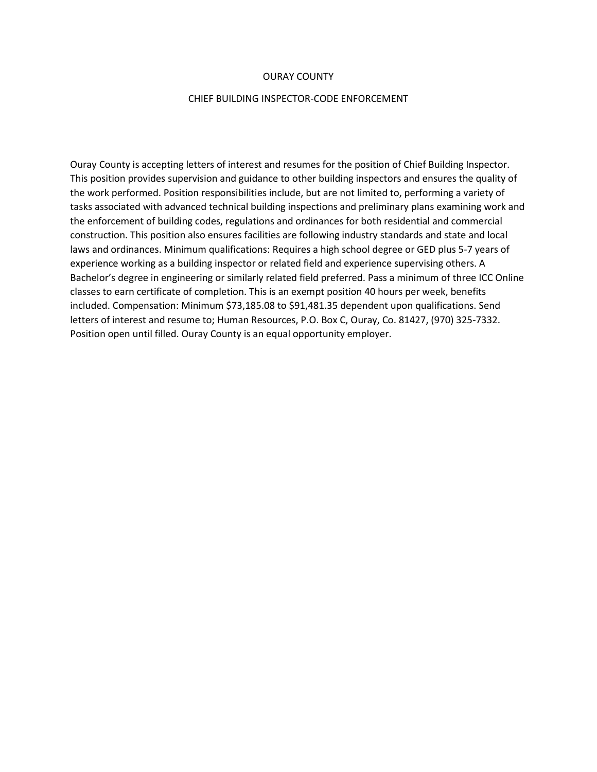#### OURAY COUNTY

#### CHIEF BUILDING INSPECTOR-CODE ENFORCEMENT

Ouray County is accepting letters of interest and resumes for the position of Chief Building Inspector. This position provides supervision and guidance to other building inspectors and ensures the quality of the work performed. Position responsibilities include, but are not limited to, performing a variety of tasks associated with advanced technical building inspections and preliminary plans examining work and the enforcement of building codes, regulations and ordinances for both residential and commercial construction. This position also ensures facilities are following industry standards and state and local laws and ordinances. Minimum qualifications: Requires a high school degree or GED plus 5-7 years of experience working as a building inspector or related field and experience supervising others. A Bachelor's degree in engineering or similarly related field preferred. Pass a minimum of three ICC Online classes to earn certificate of completion. This is an exempt position 40 hours per week, benefits included. Compensation: Minimum \$73,185.08 to \$91,481.35 dependent upon qualifications. Send letters of interest and resume to; Human Resources, P.O. Box C, Ouray, Co. 81427, (970) 325-7332. Position open until filled. Ouray County is an equal opportunity employer.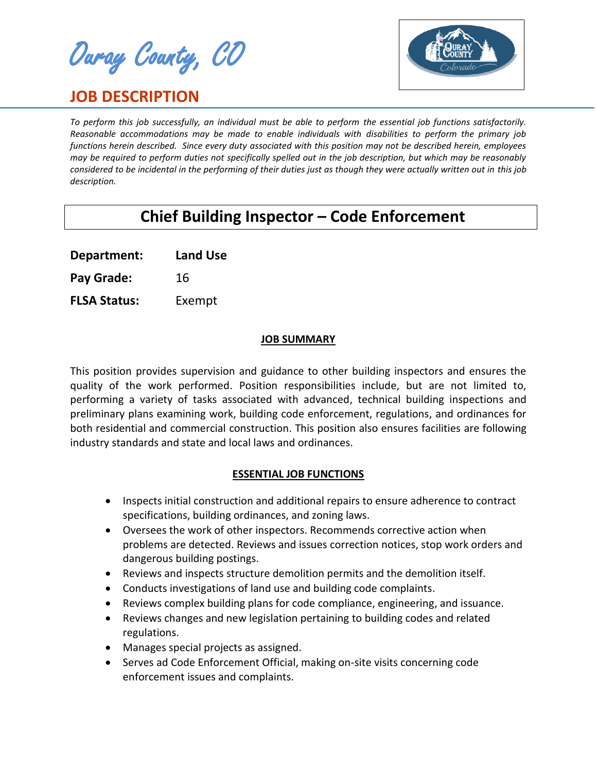Ouray County, CO

# **JOB DESCRIPTION**



*To perform this job successfully, an individual must be able to perform the essential job functions satisfactorily. Reasonable accommodations may be made to enable individuals with disabilities to perform the primary job functions herein described. Since every duty associated with this position may not be described herein, employees may be required to perform duties not specifically spelled out in the job description, but which may be reasonably considered to be incidental in the performing of their duties just as though they were actually written out in this job description.*

# **Chief Building Inspector – Code Enforcement**

**Department: Land Use**

Pay Grade: 16

**FLSA Status:** Exempt

## **JOB SUMMARY**

This position provides supervision and guidance to other building inspectors and ensures the quality of the work performed. Position responsibilities include, but are not limited to, performing a variety of tasks associated with advanced, technical building inspections and preliminary plans examining work, building code enforcement, regulations, and ordinances for both residential and commercial construction. This position also ensures facilities are following industry standards and state and local laws and ordinances.

# **ESSENTIAL JOB FUNCTIONS**

- Inspects initial construction and additional repairs to ensure adherence to contract specifications, building ordinances, and zoning laws.
- Oversees the work of other inspectors. Recommends corrective action when problems are detected. Reviews and issues correction notices, stop work orders and dangerous building postings.
- Reviews and inspects structure demolition permits and the demolition itself.
- Conducts investigations of land use and building code complaints.
- Reviews complex building plans for code compliance, engineering, and issuance.
- Reviews changes and new legislation pertaining to building codes and related regulations.
- Manages special projects as assigned.
- Serves ad Code Enforcement Official, making on-site visits concerning code enforcement issues and complaints.